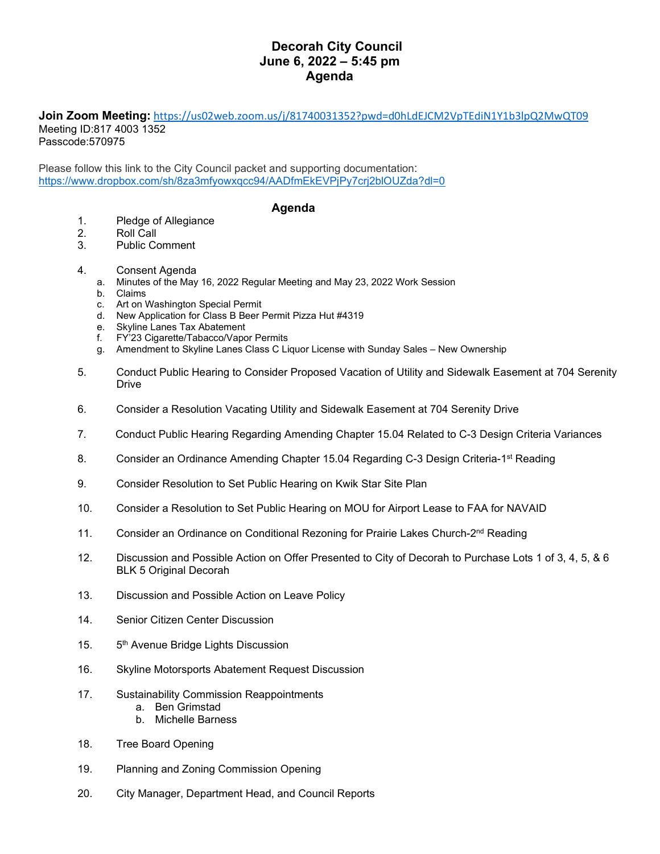## **Decorah City Council June 6, 2022 – 5:45 pm Agenda**

## **Join Zoom Meeting:** <https://us02web.zoom.us/j/81740031352?pwd=d0hLdEJCM2VpTEdiN1Y1b3lpQ2MwQT09> Meeting ID:817 4003 1352

Passcode:570975

Please follow this link to the City Council packet and supporting documentation: <https://www.dropbox.com/sh/8za3mfyowxqcc94/AADfmEkEVPjPy7crj2blOUZda?dl=0>

## **Agenda**

- 1. Pledge of Allegiance
- 2. Roll Call<br>3. Public Co
- Public Comment
- 4. Consent Agenda
	- a. Minutes of the May 16, 2022 Regular Meeting and May 23, 2022 Work Session
	- b. Claims
	- c. Art on Washington Special Permit
	- d. New Application for Class B Beer Permit Pizza Hut #4319
	- e. Skyline Lanes Tax Abatement
	- f. FY'23 Cigarette/Tabacco/Vapor Permits
	- g. Amendment to Skyline Lanes Class C Liquor License with Sunday Sales New Ownership
- 5. Conduct Public Hearing to Consider Proposed Vacation of Utility and Sidewalk Easement at 704 Serenity Drive
- 6. Consider a Resolution Vacating Utility and Sidewalk Easement at 704 Serenity Drive
- 7. Conduct Public Hearing Regarding Amending Chapter 15.04 Related to C-3 Design Criteria Variances
- 8. Consider an Ordinance Amending Chapter 15.04 Regarding C-3 Design Criteria-1<sup>st</sup> Reading
- 9. Consider Resolution to Set Public Hearing on Kwik Star Site Plan
- 10. Consider a Resolution to Set Public Hearing on MOU for Airport Lease to FAA for NAVAID
- 11. Consider an Ordinance on Conditional Rezoning for Prairie Lakes Church-2<sup>nd</sup> Reading
- 12. Discussion and Possible Action on Offer Presented to City of Decorah to Purchase Lots 1 of 3, 4, 5, & 6 BLK 5 Original Decorah
- 13. Discussion and Possible Action on Leave Policy
- 14. Senior Citizen Center Discussion
- 15. 5<sup>th</sup> Avenue Bridge Lights Discussion
- 16. Skyline Motorsports Abatement Request Discussion
- 17. Sustainability Commission Reappointments
	- a. Ben Grimstad
	- b. Michelle Barness
- 18. Tree Board Opening
- 19. Planning and Zoning Commission Opening
- 20. City Manager, Department Head, and Council Reports